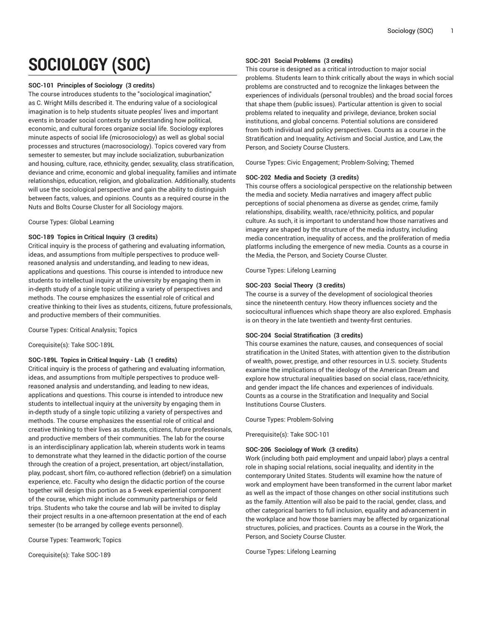# **SOCIOLOGY (SOC)**

## **SOC-101 Principles of Sociology (3 credits)**

The course introduces students to the "sociological imagination," as C. Wright Mills described it. The enduring value of a sociological imagination is to help students situate peoples' lives and important events in broader social contexts by understanding how political, economic, and cultural forces organize social life. Sociology explores minute aspects of social life (microsociology) as well as global social processes and structures (macrosociology). Topics covered vary from semester to semester, but may include socialization, suburbanization and housing, culture, race, ethnicity, gender, sexuality, class stratification, deviance and crime, economic and global inequality, families and intimate relationships, education, religion, and globalization. Additionally, students will use the sociological perspective and gain the ability to distinguish between facts, values, and opinions. Counts as a required course in the Nuts and Bolts Course Cluster for all Sociology majors.

Course Types: Global Learning

# **SOC-189 Topics in Critical Inquiry (3 credits)**

Critical inquiry is the process of gathering and evaluating information, ideas, and assumptions from multiple perspectives to produce wellreasoned analysis and understanding, and leading to new ideas, applications and questions. This course is intended to introduce new students to intellectual inquiry at the university by engaging them in in-depth study of a single topic utilizing a variety of perspectives and methods. The course emphasizes the essential role of critical and creative thinking to their lives as students, citizens, future professionals, and productive members of their communities.

Course Types: Critical Analysis; Topics

Corequisite(s): Take SOC-189L

# **SOC-189L Topics in Critical Inquiry - Lab (1 credits)**

Critical inquiry is the process of gathering and evaluating information, ideas, and assumptions from multiple perspectives to produce wellreasoned analysis and understanding, and leading to new ideas, applications and questions. This course is intended to introduce new students to intellectual inquiry at the university by engaging them in in-depth study of a single topic utilizing a variety of perspectives and methods. The course emphasizes the essential role of critical and creative thinking to their lives as students, citizens, future professionals, and productive members of their communities. The lab for the course is an interdisciplinary application lab, wherein students work in teams to demonstrate what they learned in the didactic portion of the course through the creation of a project, presentation, art object/installation, play, podcast, short film, co-authored reflection (debrief) on a simulation experience, etc. Faculty who design the didactic portion of the course together will design this portion as a 5-week experiential component of the course, which might include community partnerships or field trips. Students who take the course and lab will be invited to display their project results in a one-afternoon presentation at the end of each semester (to be arranged by college events personnel).

Course Types: Teamwork; Topics

Corequisite(s): Take SOC-189

# **SOC-201 Social Problems (3 credits)**

This course is designed as a critical introduction to major social problems. Students learn to think critically about the ways in which social problems are constructed and to recognize the linkages between the experiences of individuals (personal troubles) and the broad social forces that shape them (public issues). Particular attention is given to social problems related to inequality and privilege, deviance, broken social institutions, and global concerns. Potential solutions are considered from both individual and policy perspectives. Counts as a course in the Stratification and Inequality, Activism and Social Justice, and Law, the Person, and Society Course Clusters.

Course Types: Civic Engagement; Problem-Solving; Themed

# **SOC-202 Media and Society (3 credits)**

This course offers a sociological perspective on the relationship between the media and society. Media narratives and imagery affect public perceptions of social phenomena as diverse as gender, crime, family relationships, disability, wealth, race/ethnicity, politics, and popular culture. As such, it is important to understand how those narratives and imagery are shaped by the structure of the media industry, including media concentration, inequality of access, and the proliferation of media platforms including the emergence of new media. Counts as a course in the Media, the Person, and Society Course Cluster.

Course Types: Lifelong Learning

# **SOC-203 Social Theory (3 credits)**

The course is a survey of the development of sociological theories since the nineteenth century. How theory influences society and the sociocultural influences which shape theory are also explored. Emphasis is on theory in the late twentieth and twenty-first centuries.

# **SOC-204 Social Stratification (3 credits)**

This course examines the nature, causes, and consequences of social stratification in the United States, with attention given to the distribution of wealth, power, prestige, and other resources in U.S. society. Students examine the implications of the ideology of the American Dream and explore how structural inequalities based on social class, race/ethnicity, and gender impact the life chances and experiences of individuals. Counts as a course in the Stratification and Inequality and Social Institutions Course Clusters.

Course Types: Problem-Solving

Prerequisite(s): Take SOC-101

# **SOC-206 Sociology of Work (3 credits)**

Work (including both paid employment and unpaid labor) plays a central role in shaping social relations, social inequality, and identity in the contemporary United States. Students will examine how the nature of work and employment have been transformed in the current labor market as well as the impact of those changes on other social institutions such as the family. Attention will also be paid to the racial, gender, class, and other categorical barriers to full inclusion, equality and advancement in the workplace and how those barriers may be affected by organizational structures, policies, and practices. Counts as a course in the Work, the Person, and Society Course Cluster.

Course Types: Lifelong Learning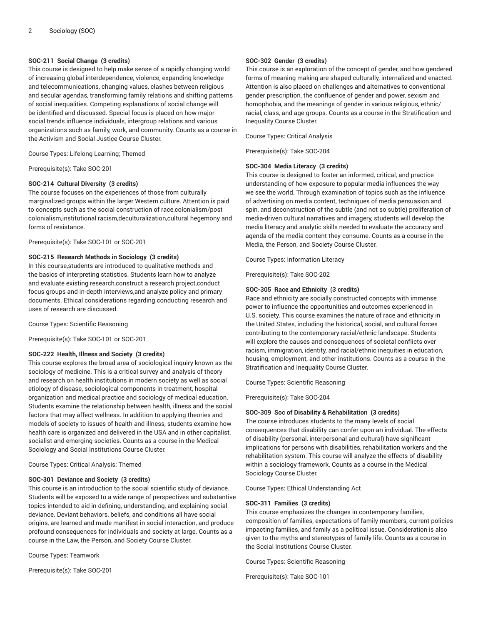## **SOC-211 Social Change (3 credits)**

This course is designed to help make sense of a rapidly changing world of increasing global interdependence, violence, expanding knowledge and telecommunications, changing values, clashes between religious and secular agendas, transforming family relations and shifting patterns of social inequalities. Competing explanations of social change will be identified and discussed. Special focus is placed on how major social trends influence individuals, intergroup relations and various organizations such as family, work, and community. Counts as a course in the Activism and Social Justice Course Cluster.

Course Types: Lifelong Learning; Themed

Prerequisite(s): Take SOC-201

#### **SOC-214 Cultural Diversity (3 credits)**

The course focuses on the experiences of those from culturally marginalized groups within the larger Western culture. Attention is paid to concepts such as the social construction of race,colonialism/post colonialism,institutional racism,deculturalization,cultural hegemony and forms of resistance.

Prerequisite(s): Take SOC-101 or SOC-201

#### **SOC-215 Research Methods in Sociology (3 credits)**

In this course,students are introduced to qualitative methods and the basics of interpreting statistics. Students learn how to analyze and evaluate existing research,construct a research project,conduct focus groups and in-depth interviews,and analyze policy and primary documents. Ethical considerations regarding conducting research and uses of research are discussed.

Course Types: Scientific Reasoning

Prerequisite(s): Take SOC-101 or SOC-201

## **SOC-222 Health, Illness and Society (3 credits)**

This course explores the broad area of sociological inquiry known as the sociology of medicine. This is a critical survey and analysis of theory and research on health institutions in modern society as well as social etiology of disease, sociological components in treatment, hospital organization and medical practice and sociology of medical education. Students examine the relationship between health, illness and the social factors that may affect wellness. In addition to applying theories and models of society to issues of health and illness, students examine how health care is organized and delivered in the USA and in other capitalist, socialist and emerging societies. Counts as a course in the Medical Sociology and Social Institutions Course Cluster.

Course Types: Critical Analysis; Themed

#### **SOC-301 Deviance and Society (3 credits)**

This course is an introduction to the social scientific study of deviance. Students will be exposed to a wide range of perspectives and substantive topics intended to aid in defining, understanding, and explaining social deviance. Deviant behaviors, beliefs, and conditions all have social origins, are learned and made manifest in social interaction, and produce profound consequences for individuals and society at large. Counts as a course in the Law, the Person, and Society Course Cluster.

Course Types: Teamwork

Prerequisite(s): Take SOC-201

#### **SOC-302 Gender (3 credits)**

This course is an exploration of the concept of gender, and how gendered forms of meaning making are shaped culturally, internalized and enacted. Attention is also placed on challenges and alternatives to conventional gender prescription, the confluence of gender and power, sexism and homophobia, and the meanings of gender in various religious, ethnic/ racial, class, and age groups. Counts as a course in the Stratification and Inequality Course Cluster.

Course Types: Critical Analysis

Prerequisite(s): Take SOC-204

#### **SOC-304 Media Literacy (3 credits)**

This course is designed to foster an informed, critical, and practice understanding of how exposure to popular media influences the way we see the world. Through examination of topics such as the influence of advertising on media content, techniques of media persuasion and spin, and deconstruction of the subtle (and not so subtle) proliferation of media-driven cultural narratives and imagery, students will develop the media literacy and analytic skills needed to evaluate the accuracy and agenda of the media content they consume. Counts as a course in the Media, the Person, and Society Course Cluster.

Course Types: Information Literacy

Prerequisite(s): Take SOC-202

#### **SOC-305 Race and Ethnicity (3 credits)**

Race and ethnicity are socially constructed concepts with immense power to influence the opportunities and outcomes experienced in U.S. society. This course examines the nature of race and ethnicity in the United States, including the historical, social, and cultural forces contributing to the contemporary racial/ethnic landscape. Students will explore the causes and consequences of societal conflicts over racism, immigration, identity, and racial/ethnic inequities in education, housing, employment, and other institutions. Counts as a course in the Stratification and Inequality Course Cluster.

Course Types: Scientific Reasoning

Prerequisite(s): Take SOC-204

## **SOC-309 Soc of Disability & Rehabilitation (3 credits)**

The course introduces students to the many levels of social consequences that disability can confer upon an individual. The effects of disability (personal, interpersonal and cultural) have significant implications for persons with disabilities, rehabilitation workers and the rehabilitation system. This course will analyze the effects of disability within a sociology framework. Counts as a course in the Medical Sociology Course Cluster.

Course Types: Ethical Understanding Act

#### **SOC-311 Families (3 credits)**

This course emphasizes the changes in contemporary families, composition of families, expectations of family members, current policies impacting families, and family as a political issue. Consideration is also given to the myths and stereotypes of family life. Counts as a course in the Social Institutions Course Cluster.

Course Types: Scientific Reasoning

Prerequisite(s): Take SOC-101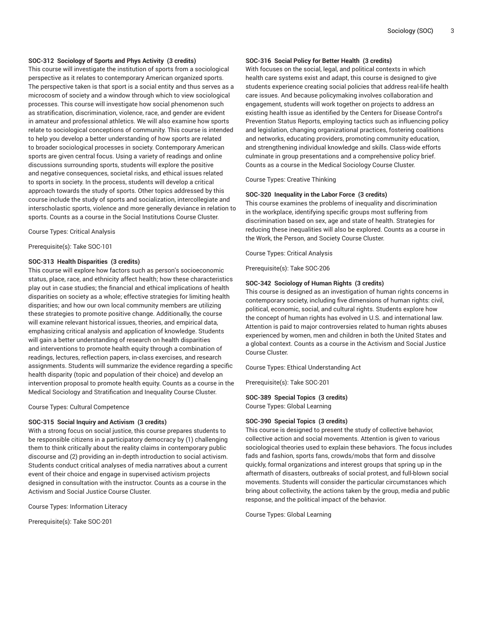## **SOC-312 Sociology of Sports and Phys Activity (3 credits)**

This course will investigate the institution of sports from a sociological perspective as it relates to contemporary American organized sports. The perspective taken is that sport is a social entity and thus serves as a microcosm of society and a window through which to view sociological processes. This course will investigate how social phenomenon such as stratification, discrimination, violence, race, and gender are evident in amateur and professional athletics. We will also examine how sports relate to sociological conceptions of community. This course is intended to help you develop a better understanding of how sports are related to broader sociological processes in society. Contemporary American sports are given central focus. Using a variety of readings and online discussions surrounding sports, students will explore the positive and negative consequences, societal risks, and ethical issues related to sports in society. In the process, students will develop a critical approach towards the study of sports. Other topics addressed by this course include the study of sports and socialization, intercollegiate and interscholastic sports, violence and more generally deviance in relation to sports. Counts as a course in the Social Institutions Course Cluster.

Course Types: Critical Analysis

Prerequisite(s): Take SOC-101

#### **SOC-313 Health Disparities (3 credits)**

This course will explore how factors such as person's socioeconomic status, place, race, and ethnicity affect health; how these characteristics play out in case studies; the financial and ethical implications of health disparities on society as a whole; effective strategies for limiting health disparities; and how our own local community members are utilizing these strategies to promote positive change. Additionally, the course will examine relevant historical issues, theories, and empirical data, emphasizing critical analysis and application of knowledge. Students will gain a better understanding of research on health disparities and interventions to promote health equity through a combination of readings, lectures, reflection papers, in-class exercises, and research assignments. Students will summarize the evidence regarding a specific health disparity (topic and population of their choice) and develop an intervention proposal to promote health equity. Counts as a course in the Medical Sociology and Stratification and Inequality Course Cluster.

Course Types: Cultural Competence

#### **SOC-315 Social Inquiry and Activism (3 credits)**

With a strong focus on social justice, this course prepares students to be responsible citizens in a participatory democracy by (1) challenging them to think critically about the reality claims in contemporary public discourse and (2) providing an in-depth introduction to social activism. Students conduct critical analyses of media narratives about a current event of their choice and engage in supervised activism projects designed in consultation with the instructor. Counts as a course in the Activism and Social Justice Course Cluster.

Course Types: Information Literacy

Prerequisite(s): Take SOC-201

## **SOC-316 Social Policy for Better Health (3 credits)**

With focuses on the social, legal, and political contexts in which health care systems exist and adapt, this course is designed to give students experience creating social policies that address real-life health care issues. And because policymaking involves collaboration and engagement, students will work together on projects to address an existing health issue as identified by the Centers for Disease Control's Prevention Status Reports, employing tactics such as influencing policy and legislation, changing organizational practices, fostering coalitions and networks, educating providers, promoting community education, and strengthening individual knowledge and skills. Class-wide efforts culminate in group presentations and a comprehensive policy brief. Counts as a course in the Medical Sociology Course Cluster.

Course Types: Creative Thinking

#### **SOC-320 Inequality in the Labor Force (3 credits)**

This course examines the problems of inequality and discrimination in the workplace, identifying specific groups most suffering from discrimination based on sex, age and state of health. Strategies for reducing these inequalities will also be explored. Counts as a course in the Work, the Person, and Society Course Cluster.

Course Types: Critical Analysis

Prerequisite(s): Take SOC-206

#### **SOC-342 Sociology of Human Rights (3 credits)**

This course is designed as an investigation of human rights concerns in contemporary society, including five dimensions of human rights: civil, political, economic, social, and cultural rights. Students explore how the concept of human rights has evolved in U.S. and international law. Attention is paid to major controversies related to human rights abuses experienced by women, men and children in both the United States and a global context. Counts as a course in the Activism and Social Justice Course Cluster.

Course Types: Ethical Understanding Act

Prerequisite(s): Take SOC-201

#### **SOC-389 Special Topics (3 credits)** Course Types: Global Learning

#### **SOC-390 Special Topics (3 credits)**

This course is designed to present the study of collective behavior, collective action and social movements. Attention is given to various sociological theories used to explain these behaviors. The focus includes fads and fashion, sports fans, crowds/mobs that form and dissolve quickly, formal organizations and interest groups that spring up in the aftermath of disasters, outbreaks of social protest, and full-blown social movements. Students will consider the particular circumstances which bring about collectivity, the actions taken by the group, media and public response, and the political impact of the behavior.

Course Types: Global Learning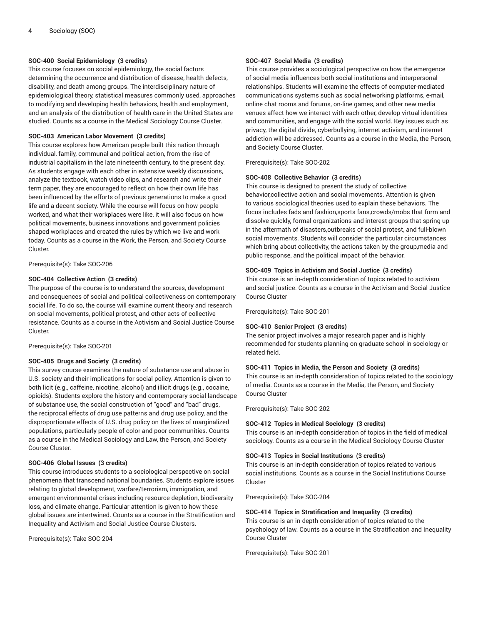## **SOC-400 Social Epidemiology (3 credits)**

This course focuses on social epidemiology, the social factors determining the occurrence and distribution of disease, health defects, disability, and death among groups. The interdisciplinary nature of epidemiological theory, statistical measures commonly used, approaches to modifying and developing health behaviors, health and employment, and an analysis of the distribution of health care in the United States are studied. Counts as a course in the Medical Sociology Course Cluster.

# **SOC-403 American Labor Movement (3 credits)**

This course explores how American people built this nation through individual, family, communal and political action, from the rise of industrial capitalism in the late nineteenth century, to the present day. As students engage with each other in extensive weekly discussions, analyze the textbook, watch video clips, and research and write their term paper, they are encouraged to reflect on how their own life has been influenced by the efforts of previous generations to make a good life and a decent society. While the course will focus on how people worked, and what their workplaces were like, it will also focus on how political movements, business innovations and government policies shaped workplaces and created the rules by which we live and work today. Counts as a course in the Work, the Person, and Society Course Cluster.

Prerequisite(s): Take SOC-206

## **SOC-404 Collective Action (3 credits)**

The purpose of the course is to understand the sources, development and consequences of social and political collectiveness on contemporary social life. To do so, the course will examine current theory and research on social movements, political protest, and other acts of collective resistance. Counts as a course in the Activism and Social Justice Course Cluster.

Prerequisite(s): Take SOC-201

### **SOC-405 Drugs and Society (3 credits)**

This survey course examines the nature of substance use and abuse in U.S. society and their implications for social policy. Attention is given to both licit (e.g., caffeine, nicotine, alcohol) and illicit drugs (e.g., cocaine, opioids). Students explore the history and contemporary social landscape of substance use, the social construction of "good" and "bad" drugs, the reciprocal effects of drug use patterns and drug use policy, and the disproportionate effects of U.S. drug policy on the lives of marginalized populations, particularly people of color and poor communities. Counts as a course in the Medical Sociology and Law, the Person, and Society Course Cluster.

#### **SOC-406 Global Issues (3 credits)**

This course introduces students to a sociological perspective on social phenomena that transcend national boundaries. Students explore issues relating to global development, warfare/terrorism, immigration, and emergent environmental crises including resource depletion, biodiversity loss, and climate change. Particular attention is given to how these global issues are intertwined. Counts as a course in the Stratification and Inequality and Activism and Social Justice Course Clusters.

Prerequisite(s): Take SOC-204

#### **SOC-407 Social Media (3 credits)**

This course provides a sociological perspective on how the emergence of social media influences both social institutions and interpersonal relationships. Students will examine the effects of computer-mediated communications systems such as social networking platforms, e-mail, online chat rooms and forums, on-line games, and other new media venues affect how we interact with each other, develop virtual identities and communities, and engage with the social world. Key issues such as privacy, the digital divide, cyberbullying, internet activism, and internet addiction will be addressed. Counts as a course in the Media, the Person, and Society Course Cluster.

Prerequisite(s): Take SOC-202

# **SOC-408 Collective Behavior (3 credits)**

This course is designed to present the study of collective behavior,collective action and social movements. Attention is given to various sociological theories used to explain these behaviors. The focus includes fads and fashion,sports fans,crowds/mobs that form and dissolve quickly, formal organizations and interest groups that spring up in the aftermath of disasters,outbreaks of social protest, and full-blown social movements. Students will consider the particular circumstances which bring about collectivity, the actions taken by the group,media and public response, and the political impact of the behavior.

#### **SOC-409 Topics in Activism and Social Justice (3 credits)**

This course is an in-depth consideration of topics related to activism and social justice. Counts as a course in the Activism and Social Justice Course Cluster

Prerequisite(s): Take SOC-201

#### **SOC-410 Senior Project (3 credits)**

The senior project involves a major research paper and is highly recommended for students planning on graduate school in sociology or related field.

#### **SOC-411 Topics in Media, the Person and Society (3 credits)**

This course is an in-depth consideration of topics related to the sociology of media. Counts as a course in the Media, the Person, and Society Course Cluster

Prerequisite(s): Take SOC-202

#### **SOC-412 Topics in Medical Sociology (3 credits)**

This course is an in-depth consideration of topics in the field of medical sociology. Counts as a course in the Medical Sociology Course Cluster

#### **SOC-413 Topics in Social Institutions (3 credits)**

This course is an in-depth consideration of topics related to various social institutions. Counts as a course in the Social Institutions Course Cluster

Prerequisite(s): Take SOC-204

#### **SOC-414 Topics in Stratification and Inequality (3 credits)**

This course is an in-depth consideration of topics related to the psychology of law. Counts as a course in the Stratification and Inequality Course Cluster

Prerequisite(s): Take SOC-201